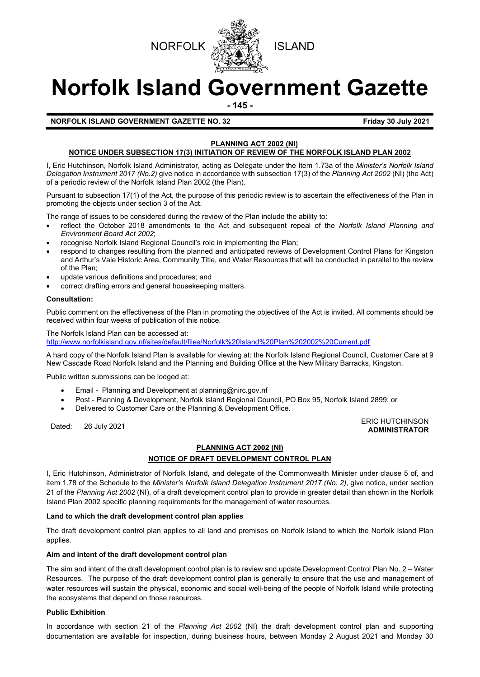



# **Norfolk Island Government Gazette**

**- 145 -**

### **NORFOLK ISLAND GOVERNMENT GAZETTE NO. 32 Friday 30 July 2021**

### **PLANNING ACT 2002 (NI) NOTICE UNDER SUBSECTION 17(3) INITIATION OF REVIEW OF THE NORFOLK ISLAND PLAN 2002**

I, Eric Hutchinson, Norfolk Island Administrator, acting as Delegate under the Item 1.73a of the *Minister's Norfolk Island Delegation Instrument 2017 (No.2)* give notice in accordance with subsection 17(3) of the *Planning Act 2002* (NI) (the Act) of a periodic review of the Norfolk Island Plan 2002 (the Plan).

Pursuant to subsection 17(1) of the Act, the purpose of this periodic review is to ascertain the effectiveness of the Plan in promoting the objects under section 3 of the Act.

The range of issues to be considered during the review of the Plan include the ability to:

- reflect the October 2018 amendments to the Act and subsequent repeal of the *Norfolk Island Planning and Environment Board Act 2002*;
- recognise Norfolk Island Regional Council's role in implementing the Plan;
- respond to changes resulting from the planned and anticipated reviews of Development Control Plans for Kingston and Arthur's Vale Historic Area, Community Title, and Water Resources that will be conducted in parallel to the review of the Plan;
- update various definitions and procedures; and
- correct drafting errors and general housekeeping matters.

### **Consultation:**

Public comment on the effectiveness of the Plan in promoting the objectives of the Act is invited. All comments should be received within four weeks of publication of this notice.

The Norfolk Island Plan can be accessed at: <http://www.norfolkisland.gov.nf/sites/default/files/Norfolk%20Island%20Plan%202002%20Current.pdf>

A hard copy of the Norfolk Island Plan is available for viewing at: the Norfolk Island Regional Council, Customer Care at 9 New Cascade Road Norfolk Island and the Planning and Building Office at the New Military Barracks, Kingston.

Public written submissions can be lodged at:

- Email Planning and Development at [planning@nirc.gov.nf](mailto:planning@nirc.gov.nf)
- Post Planning & Development, Norfolk Island Regional Council, PO Box 95, Norfolk Island 2899; or
- Delivered to Customer Care or the Planning & Development Office.

### Dated: 26 July 2021<br>Dated: 26 July 2021 **ADMINISTRATOR**

# **PLANNING ACT 2002 (NI)**

# **NOTICE OF DRAFT DEVELOPMENT CONTROL PLAN**

I, Eric Hutchinson, Administrator of Norfolk Island, and delegate of the Commonwealth Minister under clause 5 of, and item 1.78 of the Schedule to the *Minister's Norfolk Island Delegation Instrument 2017 (No. 2)*, give notice, under section 21 of the *Planning Act 2002* (NI), of a draft development control plan to provide in greater detail than shown in the Norfolk Island Plan 2002 specific planning requirements for the management of water resources.

### **Land to which the draft development control plan applies**

The draft development control plan applies to all land and premises on Norfolk Island to which the Norfolk Island Plan applies.

### **Aim and intent of the draft development control plan**

The aim and intent of the draft development control plan is to review and update Development Control Plan No. 2 – Water Resources. The purpose of the draft development control plan is generally to ensure that the use and management of water resources will sustain the physical, economic and social well-being of the people of Norfolk Island while protecting the ecosystems that depend on those resources.

# **Public Exhibition**

In accordance with section 21 of the *Planning Act 2002* (NI) the draft development control plan and supporting documentation are available for inspection, during business hours, between Monday 2 August 2021 and Monday 30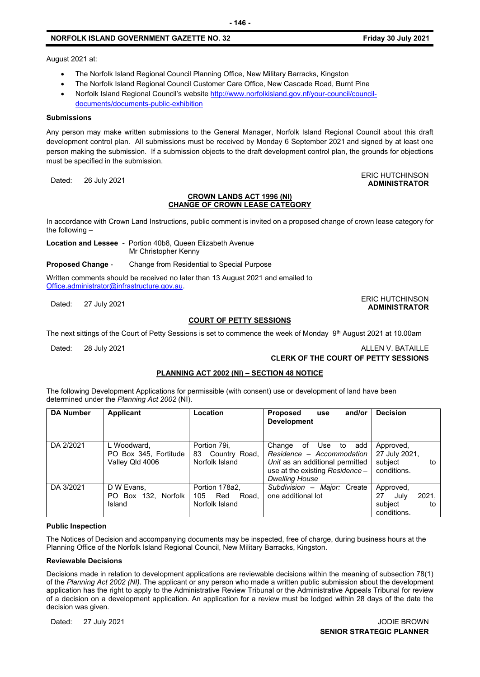# **NORFOLK ISLAND GOVERNMENT GAZETTE NO. 32 Friday 30 July 2021**

**ADMINISTRATOR**

August 2021 at:

- The Norfolk Island Regional Council Planning Office, New Military Barracks, Kingston
- The Norfolk Island Regional Council Customer Care Office, New Cascade Road, Burnt Pine
- Norfolk Island Regional Council's website [http://www.norfolkisland.gov.nf/your-council/council](http://www.norfolkisland.gov.nf/your-council/council-documents/documents-public-exhibition)[documents/documents-public-exhibition](http://www.norfolkisland.gov.nf/your-council/council-documents/documents-public-exhibition)

### **Submissions**

Any person may make written submissions to the General Manager, Norfolk Island Regional Council about this draft development control plan. All submissions must be received by Monday 6 September 2021 and signed by at least one person making the submission. If a submission objects to the draft development control plan, the grounds for objections must be specified in the submission.

Dated: 26 July 2021<br>Dated: 26 July 2021

### **CROWN LANDS ACT 1996 (NI) CHANGE OF CROWN LEASE CATEGORY**

In accordance with Crown Land Instructions, public comment is invited on a proposed change of crown lease category for the following –

**Location and Lessee** - Portion 40b8, Queen Elizabeth Avenue Mr Christopher Kenny

**Proposed Change** - Change from Residential to Special Purpose

Written comments should be received no later than 13 August 2021 and emailed to [Office.administrator@infrastructure.gov.au.](mailto:Office.administrator@infrastructure.gov.au)

### Dated: 27 July 2021<br>Dated: 27 July 2021 **ADMINISTRATOR**

### **COURT OF PETTY SESSIONS**

The next sittings of the Court of Petty Sessions is set to commence the week of Monday  $9<sup>th</sup>$  August 2021 at 10.00am

### Dated: 28 July 2021 2002 12:00 12:00 12:00 12:00 12:00 12:00 12:00 12:00 12:00 12:00 12:00 12:00 12:00 12:00 12:00 12:00 12:00 12:00 12:00 12:00 12:00 12:00 12:00 12:00 12:00 12:00 12:00 12:00 12:00 12:00 12:00 12:00 12:00

### **CLERK OF THE COURT OF PETTY SESSIONS**

### **PLANNING ACT 2002 (NI) – SECTION 48 NOTICE**

The following Development Applications for permissible (with consent) use or development of land have been determined under the *Planning Act 2002* (NI).

| <b>DA Number</b> | <b>Applicant</b>                                        | Location                                                | and/or<br><b>Proposed</b><br>use<br><b>Development</b>                                                                                                 | <b>Decision</b>                                                  |
|------------------|---------------------------------------------------------|---------------------------------------------------------|--------------------------------------------------------------------------------------------------------------------------------------------------------|------------------------------------------------------------------|
| DA 2/2021        | L Woodward,<br>PO Box 345, Fortitude<br>Valley Qld 4006 | Portion 79i,<br>Country Road,<br>83<br>Norfolk Island   | Change<br>Use to add<br>of<br>Residence - Accommodation<br>Unit as an additional permitted<br>use at the existing Residence -<br><b>Dwelling House</b> | Approved,<br>27 July 2021,<br>subject<br>to<br>conditions.       |
| DA 3/2021        | D W Evans,<br>PO Box 132, Norfolk<br>Island             | Portion 178a2,<br>105<br>Red<br>Road.<br>Norfolk Island | Subdivision - Major: Create<br>one additional lot                                                                                                      | Approved,<br>2021.<br>27<br>July<br>subject<br>to<br>conditions. |

### **Public Inspection**

The Notices of Decision and accompanying documents may be inspected, free of charge, during business hours at the Planning Office of the Norfolk Island Regional Council, New Military Barracks, Kingston.

### **Reviewable Decisions**

Decisions made in relation to development applications are reviewable decisions within the meaning of subsection 78(1) of the *Planning Act 2002 (NI).* The applicant or any person who made a written public submission about the development application has the right to apply to the Administrative Review Tribunal or the Administrative Appeals Tribunal for review of a decision on a development application. An application for a review must be lodged within 28 days of the date the decision was given.

Dated: 27 July 2021 JODIE BROWN **SENIOR STRATEGIC PLANNER**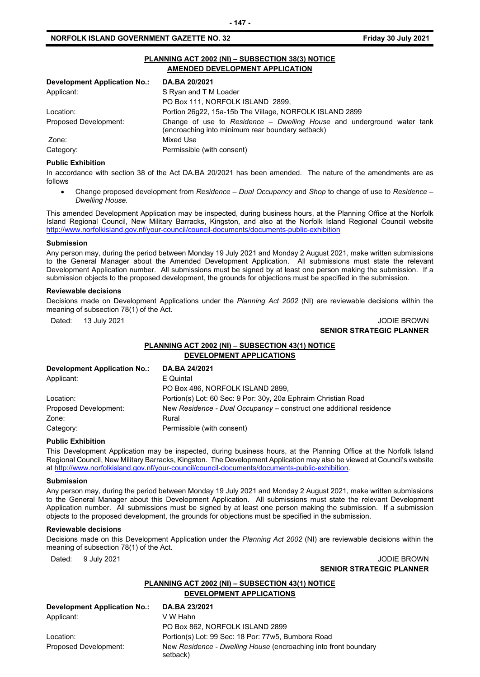# **NORFOLK ISLAND GOVERNMENT GAZETTE NO. 32 Friday 30 July 2021**

| PLANNING ACT 2002 (NI) - SUBSECTION 38(3) NOTICE<br>AMENDED DEVELOPMENT APPLICATION |                                                                                                                            |  |  |  |
|-------------------------------------------------------------------------------------|----------------------------------------------------------------------------------------------------------------------------|--|--|--|
| <b>Development Application No.:</b>                                                 | DA.BA 20/2021                                                                                                              |  |  |  |
| Applicant:                                                                          | S Ryan and T M Loader                                                                                                      |  |  |  |
|                                                                                     | PO Box 111, NORFOLK ISLAND 2899,                                                                                           |  |  |  |
| Location:                                                                           | Portion 26q22, 15a-15b The Village, NORFOLK ISLAND 2899                                                                    |  |  |  |
| Proposed Development:                                                               | Change of use to Residence - Dwelling House and underground water tank<br>(encroaching into minimum rear boundary setback) |  |  |  |
| Zone:                                                                               | Mixed Use                                                                                                                  |  |  |  |
| Category:                                                                           | Permissible (with consent)                                                                                                 |  |  |  |

# **Public Exhibition**

In accordance with section 38 of the Act DA.BA 20/2021 has been amended. The nature of the amendments are as follows

• Change proposed development from *Residence – Dual Occupancy* and *Shop* to change of use to *Residence – Dwelling House.* 

This amended Development Application may be inspected, during business hours, at the Planning Office at the Norfolk Island Regional Council, New Military Barracks, Kingston, and also at the Norfolk Island Regional Council website <http://www.norfolkisland.gov.nf/your-council/council-documents/documents-public-exhibition>

### **Submission**

Any person may, during the period between Monday 19 July 2021 and Monday 2 August 2021, make written submissions to the General Manager about the Amended Development Application. All submissions must state the relevant Development Application number. All submissions must be signed by at least one person making the submission. If a submission objects to the proposed development, the grounds for objections must be specified in the submission.

### **Reviewable decisions**

Decisions made on Development Applications under the *Planning Act 2002* (NI) are reviewable decisions within the meaning of subsection 78(1) of the Act.

Dated: 13 July 2021 2001 2002 12:00 12:00 12:00 12:00 12:00 12:00 12:00 12:00 12:00 12:00 12:00 12:00 12:00 12:00 12:00 12:00 12:00 12:00 12:00 12:00 12:00 12:00 12:00 12:00 12:00 12:00 12:00 12:00 12:00 12:00 12:00 12:00

# **SENIOR STRATEGIC PLANNER**

# **PLANNING ACT 2002 (NI) – SUBSECTION 43(1) NOTICE DEVELOPMENT APPLICATIONS**

| <b>Development Application No.:</b> | DA.BA 24/2021                                                       |
|-------------------------------------|---------------------------------------------------------------------|
| Applicant:                          | E Quintal                                                           |
|                                     | PO Box 486, NORFOLK ISLAND 2899,                                    |
| Location:                           | Portion(s) Lot: 60 Sec: 9 Por: 30y, 20a Ephraim Christian Road      |
| Proposed Development:               | New Residence - Dual Occupancy – construct one additional residence |
| Zone:                               | Rural                                                               |
| Category:                           | Permissible (with consent)                                          |

### **Public Exhibition**

This Development Application may be inspected, during business hours, at the Planning Office at the Norfolk Island Regional Council, New Military Barracks, Kingston. The Development Application may also be viewed at Council's website a[t http://www.norfolkisland.gov.nf/your-council/council-documents/documents-public-exhibition.](http://www.norfolkisland.gov.nf/your-council/council-documents/documents-public-exhibition)

### **Submission**

Any person may, during the period between Monday 19 July 2021 and Monday 2 August 2021, make written submissions to the General Manager about this Development Application. All submissions must state the relevant Development Application number. All submissions must be signed by at least one person making the submission. If a submission objects to the proposed development, the grounds for objections must be specified in the submission.

### **Reviewable decisions**

Decisions made on this Development Application under the *Planning Act 2002* (NI) are reviewable decisions within the meaning of subsection 78(1) of the Act.

### Dated: 9 July 2021 2021 2009 2009 2012 2013 2014 2015 2016 2021 2022 2034 2022 2023 2024 2022 2023 2024 2022 20 **SENIOR STRATEGIC PLANNER**

# **PLANNING ACT 2002 (NI) – SUBSECTION 43(1) NOTICE DEVELOPMENT APPLICATIONS**

| Development Application No.: | DA.BA 23/2021                                                               |
|------------------------------|-----------------------------------------------------------------------------|
| Applicant:                   | V W Hahn                                                                    |
|                              | PO Box 862, NORFOLK ISLAND 2899                                             |
| Location:                    | Portion(s) Lot: 99 Sec: 18 Por: 77w5, Bumbora Road                          |
| Proposed Development:        | New Residence - Dwelling House (encroaching into front boundary<br>setback) |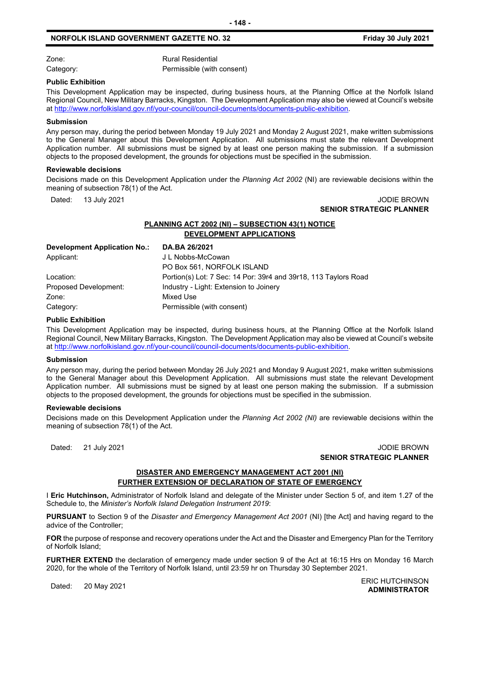### **NORFOLK ISLAND GOVERNMENT GAZETTE NO. 32 Friday 30 July 2021**

Zone: Rural Residential Category: Category: Permissible (with consent)

**Public Exhibition**

This Development Application may be inspected, during business hours, at the Planning Office at the Norfolk Island Regional Council, New Military Barracks, Kingston. The Development Application may also be viewed at Council's website a[t http://www.norfolkisland.gov.nf/your-council/council-documents/documents-public-exhibition.](http://www.norfolkisland.gov.nf/your-council/council-documents/documents-public-exhibition)

### **Submission**

Any person may, during the period between Monday 19 July 2021 and Monday 2 August 2021, make written submissions to the General Manager about this Development Application. All submissions must state the relevant Development Application number. All submissions must be signed by at least one person making the submission. If a submission objects to the proposed development, the grounds for objections must be specified in the submission.

### **Reviewable decisions**

Decisions made on this Development Application under the *Planning Act 2002* (NI) are reviewable decisions within the meaning of subsection 78(1) of the Act.

Dated: 13 July 2021 JODIE BROWN

# **SENIOR STRATEGIC PLANNER**

# **PLANNING ACT 2002 (NI) – SUBSECTION 43(1) NOTICE DEVELOPMENT APPLICATIONS**

| DA.BA 26/2021                                                   |
|-----------------------------------------------------------------|
| J L Nobbs-McCowan                                               |
| PO Box 561, NORFOLK ISLAND                                      |
| Portion(s) Lot: 7 Sec: 14 Por: 39r4 and 39r18, 113 Taylors Road |
| Industry - Light: Extension to Joinery                          |
| Mixed Use                                                       |
| Permissible (with consent)                                      |
|                                                                 |

### **Public Exhibition**

This Development Application may be inspected, during business hours, at the Planning Office at the Norfolk Island Regional Council, New Military Barracks, Kingston. The Development Application may also be viewed at Council's website a[t http://www.norfolkisland.gov.nf/your-council/council-documents/documents-public-exhibition.](http://www.norfolkisland.gov.nf/your-council/council-documents/documents-public-exhibition)

### **Submission**

Any person may, during the period between Monday 26 July 2021 and Monday 9 August 2021, make written submissions to the General Manager about this Development Application. All submissions must state the relevant Development Application number. All submissions must be signed by at least one person making the submission. If a submission objects to the proposed development, the grounds for objections must be specified in the submission.

### **Reviewable decisions**

Decisions made on this Development Application under the *Planning Act 2002 (NI)* are reviewable decisions within the meaning of subsection 78(1) of the Act.

### Dated: 21 July 2021 JODIE BROWN **SENIOR STRATEGIC PLANNER**

# **DISASTER AND EMERGENCY MANAGEMENT ACT 2001 (NI) FURTHER EXTENSION OF DECLARATION OF STATE OF EMERGENCY**

I **Eric Hutchinson,** Administrator of Norfolk Island and delegate of the Minister under Section 5 of, and item 1.27 of the Schedule to, the *Minister's Norfolk Island Delegation Instrument 2019*:

**PURSUANT** to Section 9 of the *Disaster and Emergency Management Act 2001* (NI) [the Act] and having regard to the advice of the Controller;

**FOR** the purpose of response and recovery operations under the Act and the Disaster and Emergency Plan for the Territory of Norfolk Island;

**FURTHER EXTEND** the declaration of emergency made under section 9 of the Act at 16:15 Hrs on Monday 16 March 2020, for the whole of the Territory of Norfolk Island, until 23:59 hr on Thursday 30 September 2021.

Dated: 20 May 2021 ERIC HUTCHINSON **ADMINISTRATOR**